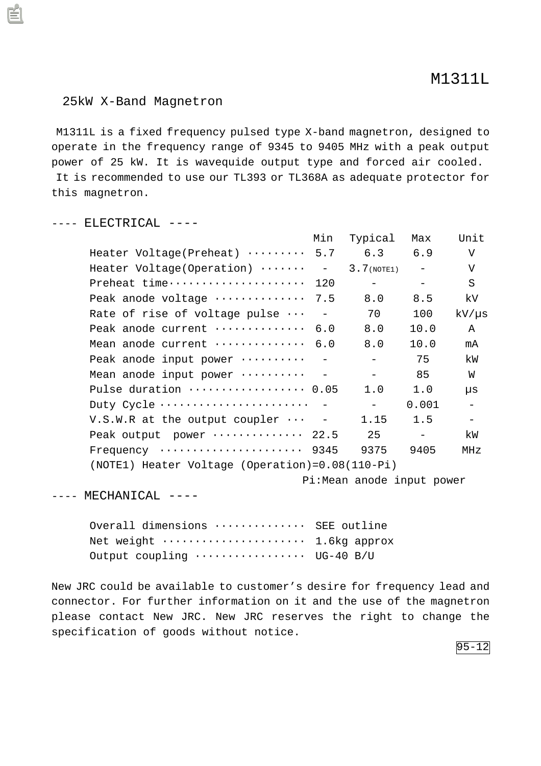## 25kW X-Band Magnetron

 M1311L is a fixed frequency pulsed type X-band magnetron, designed to operate in the frequency range of 9345 to 9405 MHz with a peak output power of 25 kW. It is wavequide output type and forced air cooled. It is recommended to use our TL393 or TL368A as adequate protector for this magnetron.

## ---- ELECTRICAL ----

|                                                        | Min | Typical    | Max               | Unit                     |
|--------------------------------------------------------|-----|------------|-------------------|--------------------------|
| Heater Voltage(Preheat) $\cdots \cdots$ 5.7            |     | 6.3        | 6.9               | V                        |
| Heater Voltage(Operation) $\cdots \cdots$ - 3.7(NOTE1) |     |            | $\sim$ 100 $\sim$ | V                        |
| Preheat time 120                                       |     |            |                   | S                        |
| Peak anode voltage  7.5                                |     | 8.0        | 8.5               | kV.                      |
| Rate of rise of voltage pulse $\cdots$ -               |     | 70         | 100               | $kV/\mu s$               |
| Peak anode current  6.0                                |     | 8.0        | 10.0              | $\mathbb A$              |
| Mean anode current  6.0                                |     | 8.0        | 10.0              | mA                       |
| Peak anode input power  -                              |     |            | 75                | kW                       |
| Mean anode input power $\cdots \cdots$ -               |     | $ \sim$    | 85                | W                        |
| Pulse duration  0.05                                   |     | 1.0        | 1.0               | μs                       |
| Duty Cycle                                             |     | $\sim$ $-$ | 0.001             | $\overline{\phantom{a}}$ |
| $V.S.W.R$ at the output coupler $\cdots$ -             |     | 1.15       | 1.5               | $\overline{\phantom{a}}$ |
| Peak output power  22.5                                |     | 25         | $\sim$            | kW                       |
| Frequency  9345                                        |     | 9375       | 9405              | MHz                      |
| $(NOTE1)$ Heater Voltage $(Operation)=0.08(110-Pi)$    |     |            |                   |                          |

Pi:Mean anode input power

 $---$  MECHANICAL  $---$ 

Overall dimensions  $\cdots$ ......... SEE outline Net weight ······················ 1.6kg approx Output coupling  $\cdots$ ............ UG-40 B/U

New JRC could be available to customer's desire for frequency lead and connector. For further information on it and the use of the magnetron please contact New JRC. New JRC reserves the right to change the specification of goods without notice.

95-12